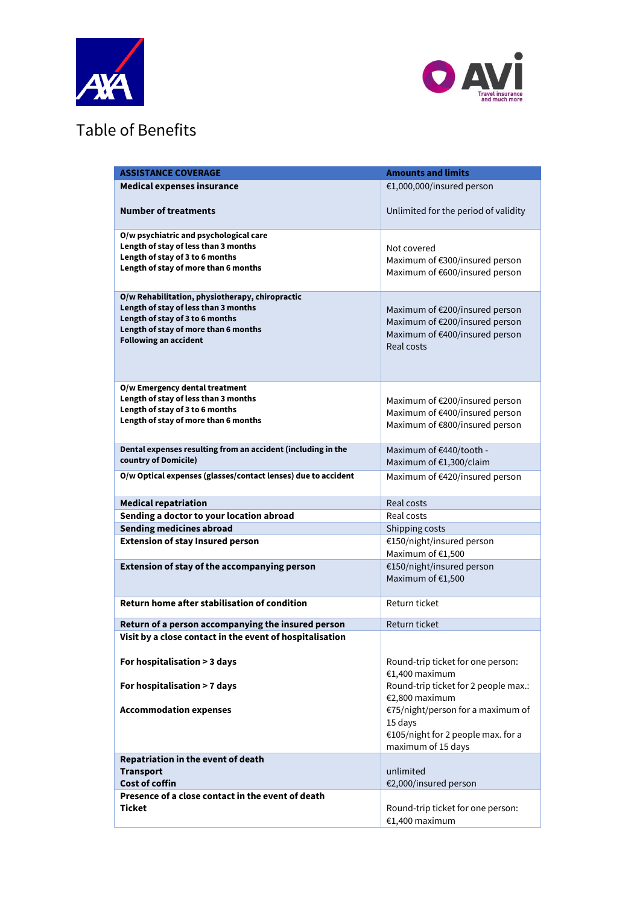



## Table of Benefits

| <b>Medical expenses insurance</b><br>€1,000,000/insured person<br><b>Number of treatments</b><br>Unlimited for the period of validity<br>O/w psychiatric and psychological care<br>Length of stay of less than 3 months<br>Not covered<br>Length of stay of 3 to 6 months<br>Maximum of €300/insured person<br>Length of stay of more than 6 months<br>Maximum of €600/insured person<br>O/w Rehabilitation, physiotherapy, chiropractic<br>Length of stay of less than 3 months<br>Maximum of €200/insured person<br>Length of stay of 3 to 6 months<br>Maximum of €200/insured person<br>Length of stay of more than 6 months<br>Maximum of €400/insured person<br><b>Following an accident</b><br>Real costs<br>O/w Emergency dental treatment<br>Length of stay of less than 3 months<br>Maximum of €200/insured person<br>Length of stay of 3 to 6 months<br>Maximum of €400/insured person<br>Length of stay of more than 6 months<br>Maximum of €800/insured person<br>Dental expenses resulting from an accident (including in the<br>Maximum of €440/tooth -<br>country of Domicile)<br>Maximum of €1,300/claim<br>O/w Optical expenses (glasses/contact lenses) due to accident<br>Maximum of €420/insured person<br><b>Medical repatriation</b><br>Real costs<br>Sending a doctor to your location abroad<br>Real costs<br><b>Sending medicines abroad</b><br>Shipping costs<br><b>Extension of stay Insured person</b><br>€150/night/insured person<br>Maximum of €1,500<br>Extension of stay of the accompanying person<br>€150/night/insured person<br>Maximum of €1,500 |
|----------------------------------------------------------------------------------------------------------------------------------------------------------------------------------------------------------------------------------------------------------------------------------------------------------------------------------------------------------------------------------------------------------------------------------------------------------------------------------------------------------------------------------------------------------------------------------------------------------------------------------------------------------------------------------------------------------------------------------------------------------------------------------------------------------------------------------------------------------------------------------------------------------------------------------------------------------------------------------------------------------------------------------------------------------------------------------------------------------------------------------------------------------------------------------------------------------------------------------------------------------------------------------------------------------------------------------------------------------------------------------------------------------------------------------------------------------------------------------------------------------------------------------------------------------------------------------------|
|                                                                                                                                                                                                                                                                                                                                                                                                                                                                                                                                                                                                                                                                                                                                                                                                                                                                                                                                                                                                                                                                                                                                                                                                                                                                                                                                                                                                                                                                                                                                                                                        |
|                                                                                                                                                                                                                                                                                                                                                                                                                                                                                                                                                                                                                                                                                                                                                                                                                                                                                                                                                                                                                                                                                                                                                                                                                                                                                                                                                                                                                                                                                                                                                                                        |
|                                                                                                                                                                                                                                                                                                                                                                                                                                                                                                                                                                                                                                                                                                                                                                                                                                                                                                                                                                                                                                                                                                                                                                                                                                                                                                                                                                                                                                                                                                                                                                                        |
|                                                                                                                                                                                                                                                                                                                                                                                                                                                                                                                                                                                                                                                                                                                                                                                                                                                                                                                                                                                                                                                                                                                                                                                                                                                                                                                                                                                                                                                                                                                                                                                        |
|                                                                                                                                                                                                                                                                                                                                                                                                                                                                                                                                                                                                                                                                                                                                                                                                                                                                                                                                                                                                                                                                                                                                                                                                                                                                                                                                                                                                                                                                                                                                                                                        |
|                                                                                                                                                                                                                                                                                                                                                                                                                                                                                                                                                                                                                                                                                                                                                                                                                                                                                                                                                                                                                                                                                                                                                                                                                                                                                                                                                                                                                                                                                                                                                                                        |
|                                                                                                                                                                                                                                                                                                                                                                                                                                                                                                                                                                                                                                                                                                                                                                                                                                                                                                                                                                                                                                                                                                                                                                                                                                                                                                                                                                                                                                                                                                                                                                                        |
|                                                                                                                                                                                                                                                                                                                                                                                                                                                                                                                                                                                                                                                                                                                                                                                                                                                                                                                                                                                                                                                                                                                                                                                                                                                                                                                                                                                                                                                                                                                                                                                        |
|                                                                                                                                                                                                                                                                                                                                                                                                                                                                                                                                                                                                                                                                                                                                                                                                                                                                                                                                                                                                                                                                                                                                                                                                                                                                                                                                                                                                                                                                                                                                                                                        |
|                                                                                                                                                                                                                                                                                                                                                                                                                                                                                                                                                                                                                                                                                                                                                                                                                                                                                                                                                                                                                                                                                                                                                                                                                                                                                                                                                                                                                                                                                                                                                                                        |
|                                                                                                                                                                                                                                                                                                                                                                                                                                                                                                                                                                                                                                                                                                                                                                                                                                                                                                                                                                                                                                                                                                                                                                                                                                                                                                                                                                                                                                                                                                                                                                                        |
| <b>Return home after stabilisation of condition</b><br>Return ticket                                                                                                                                                                                                                                                                                                                                                                                                                                                                                                                                                                                                                                                                                                                                                                                                                                                                                                                                                                                                                                                                                                                                                                                                                                                                                                                                                                                                                                                                                                                   |
|                                                                                                                                                                                                                                                                                                                                                                                                                                                                                                                                                                                                                                                                                                                                                                                                                                                                                                                                                                                                                                                                                                                                                                                                                                                                                                                                                                                                                                                                                                                                                                                        |
| Return ticket<br>Return of a person accompanying the insured person<br>Visit by a close contact in the event of hospitalisation                                                                                                                                                                                                                                                                                                                                                                                                                                                                                                                                                                                                                                                                                                                                                                                                                                                                                                                                                                                                                                                                                                                                                                                                                                                                                                                                                                                                                                                        |
| For hospitalisation > 3 days<br>Round-trip ticket for one person:<br>€1,400 maximum                                                                                                                                                                                                                                                                                                                                                                                                                                                                                                                                                                                                                                                                                                                                                                                                                                                                                                                                                                                                                                                                                                                                                                                                                                                                                                                                                                                                                                                                                                    |
| Round-trip ticket for 2 people max.:<br>For hospitalisation > 7 days<br>€2,800 maximum                                                                                                                                                                                                                                                                                                                                                                                                                                                                                                                                                                                                                                                                                                                                                                                                                                                                                                                                                                                                                                                                                                                                                                                                                                                                                                                                                                                                                                                                                                 |
| €75/night/person for a maximum of<br><b>Accommodation expenses</b><br>15 days<br>€105/night for 2 people max. for a<br>maximum of 15 days                                                                                                                                                                                                                                                                                                                                                                                                                                                                                                                                                                                                                                                                                                                                                                                                                                                                                                                                                                                                                                                                                                                                                                                                                                                                                                                                                                                                                                              |
| Repatriation in the event of death<br><b>Transport</b><br>unlimited<br><b>Cost of coffin</b><br>€2,000/insured person                                                                                                                                                                                                                                                                                                                                                                                                                                                                                                                                                                                                                                                                                                                                                                                                                                                                                                                                                                                                                                                                                                                                                                                                                                                                                                                                                                                                                                                                  |
| Presence of a close contact in the event of death<br>Ticket<br>Round-trip ticket for one person:<br>€1,400 maximum                                                                                                                                                                                                                                                                                                                                                                                                                                                                                                                                                                                                                                                                                                                                                                                                                                                                                                                                                                                                                                                                                                                                                                                                                                                                                                                                                                                                                                                                     |